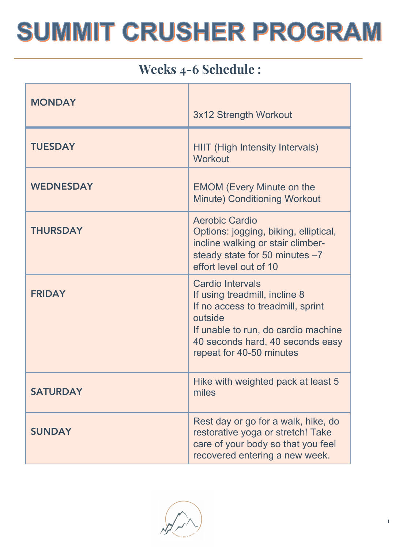### Weeks 4-6 Schedule :

| <b>MONDAY</b>    | 3x12 Strength Workout                                                                                                                                                                                           |
|------------------|-----------------------------------------------------------------------------------------------------------------------------------------------------------------------------------------------------------------|
| <b>TUESDAY</b>   | <b>HIIT (High Intensity Intervals)</b><br><b>Workout</b>                                                                                                                                                        |
| <b>WEDNESDAY</b> | <b>EMOM (Every Minute on the</b><br><b>Minute) Conditioning Workout</b>                                                                                                                                         |
| <b>THURSDAY</b>  | Aerobic Cardio<br>Options: jogging, biking, elliptical,<br>incline walking or stair climber-<br>steady state for 50 minutes -7<br>effort level out of 10                                                        |
| <b>FRIDAY</b>    | <b>Cardio Intervals</b><br>If using treadmill, incline 8<br>If no access to treadmill, sprint<br>outside<br>If unable to run, do cardio machine<br>40 seconds hard, 40 seconds easy<br>repeat for 40-50 minutes |
| <b>SATURDAY</b>  | Hike with weighted pack at least 5<br>miles                                                                                                                                                                     |
| <b>SUNDAY</b>    | Rest day or go for a walk, hike, do<br>restorative yoga or stretch! Take<br>care of your body so that you feel<br>recovered entering a new week.                                                                |

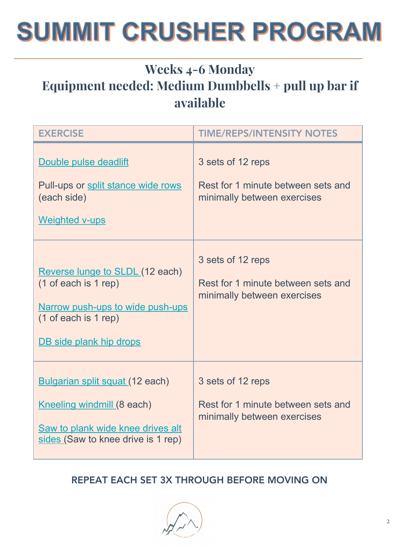### Weeks 4-6 Monday Equipment needed: Medium Dumbbells + pull up bar if available

| <b>EXERCISE</b>                                                                                                                                | <b>TIME/REPS/INTENSITY NOTES</b>                                                       |
|------------------------------------------------------------------------------------------------------------------------------------------------|----------------------------------------------------------------------------------------|
| Double pulse deadlift<br>Pull-ups or split stance wide rows<br>(each side)<br><b>Weighted v-ups</b>                                            | 3 sets of 12 reps<br>Rest for 1 minute between sets and<br>minimally between exercises |
| Reverse lunge to SLDL (12 each)<br>(1 of each is 1 rep)<br>Narrow push-ups to wide push-ups<br>(1 of each is 1 rep)<br>DB side plank hip drops | 3 sets of 12 reps<br>Rest for 1 minute between sets and<br>minimally between exercises |
| Bulgarian split squat (12 each)<br>Kneeling windmill (8 each)<br>Saw to plank wide knee drives alt<br>sides (Saw to knee drive is 1 rep)       | 3 sets of 12 reps<br>Rest for 1 minute between sets and<br>minimally between exercises |

#### REPEAT EACH SET 3X THROUGH BEFORE MOVING ON

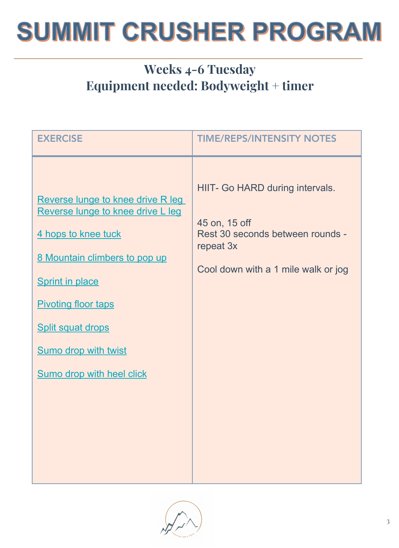### Weeks 4-6 Tuesday Equipment needed: Bodyweight + timer

| <b>EXERCISE</b>                                                                                                                                                                                                                                                                       | <b>TIME/REPS/INTENSITY NOTES</b>                                                                                                         |
|---------------------------------------------------------------------------------------------------------------------------------------------------------------------------------------------------------------------------------------------------------------------------------------|------------------------------------------------------------------------------------------------------------------------------------------|
| Reverse lunge to knee drive R leg<br>Reverse lunge to knee drive L leg<br>4 hops to knee tuck<br>8 Mountain climbers to pop up<br><b>Sprint in place</b><br><b>Pivoting floor taps</b><br><b>Split squat drops</b><br><b>Sumo drop with twist</b><br><b>Sumo drop with heel click</b> | HIIT- Go HARD during intervals.<br>45 on, 15 off<br>Rest 30 seconds between rounds -<br>repeat 3x<br>Cool down with a 1 mile walk or jog |